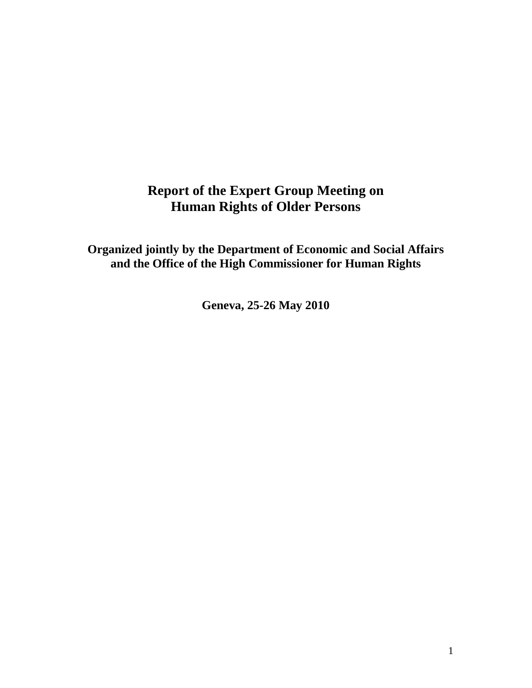# **Report of the Expert Group Meeting on Human Rights of Older Persons**

**Organized jointly by the Department of Economic and Social Affairs and the Office of the High Commissioner for Human Rights**

**Geneva, 25-26 May 2010**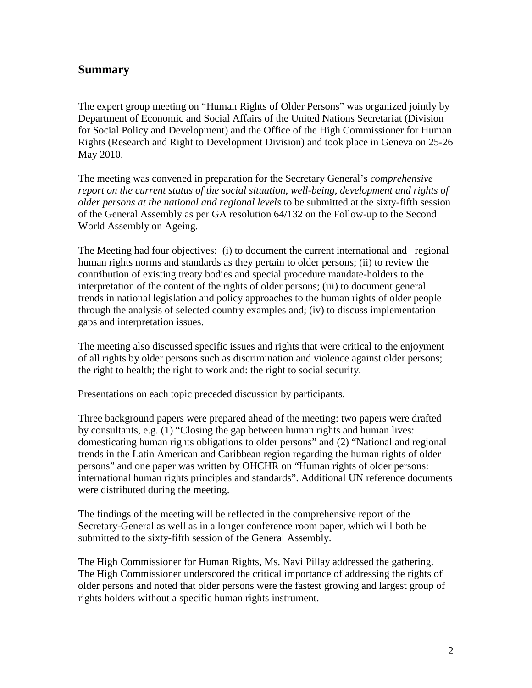## **Summary**

The expert group meeting on "Human Rights of Older Persons" was organized jointly by Department of Economic and Social Affairs of the United Nations Secretariat (Division for Social Policy and Development) and the Office of the High Commissioner for Human Rights (Research and Right to Development Division) and took place in Geneva on 25-26 May 2010.

The meeting was convened in preparation for the Secretary General's *comprehensive report on the current status of the social situation, well-being, development and rights of older persons at the national and regional levels* to be submitted at the sixty-fifth session of the General Assembly as per GA resolution 64/132 on the Follow-up to the Second World Assembly on Ageing.

The Meeting had four objectives: (i) to document the current international and regional human rights norms and standards as they pertain to older persons; (ii) to review the contribution of existing treaty bodies and special procedure mandate-holders to the interpretation of the content of the rights of older persons; (iii) to document general trends in national legislation and policy approaches to the human rights of older people through the analysis of selected country examples and; (iv) to discuss implementation gaps and interpretation issues.

The meeting also discussed specific issues and rights that were critical to the enjoyment of all rights by older persons such as discrimination and violence against older persons; the right to health; the right to work and: the right to social security.

Presentations on each topic preceded discussion by participants.

Three background papers were prepared ahead of the meeting: two papers were drafted by consultants, e.g. (1) "Closing the gap between human rights and human lives: domesticating human rights obligations to older persons" and (2) "National and regional trends in the Latin American and Caribbean region regarding the human rights of older persons" and one paper was written by OHCHR on "Human rights of older persons: international human rights principles and standards". Additional UN reference documents were distributed during the meeting.

The findings of the meeting will be reflected in the comprehensive report of the Secretary-General as well as in a longer conference room paper, which will both be submitted to the sixty-fifth session of the General Assembly.

The High Commissioner for Human Rights, Ms. Navi Pillay addressed the gathering. The High Commissioner underscored the critical importance of addressing the rights of older persons and noted that older persons were the fastest growing and largest group of rights holders without a specific human rights instrument.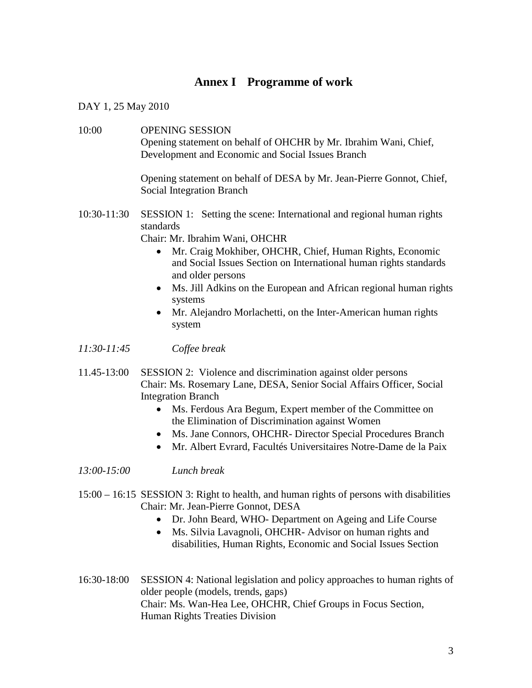# **Annex I Programme of work**

DAY 1, 25 May 2010

10:00 OPENING SESSION Opening statement on behalf of OHCHR by Mr. Ibrahim Wani, Chief, Development and Economic and Social Issues Branch

> Opening statement on behalf of DESA by Mr. Jean-Pierre Gonnot, Chief, Social Integration Branch

10:30-11:30 SESSION 1: Setting the scene: International and regional human rights standards

Chair: Mr. Ibrahim Wani, OHCHR

- Mr. Craig Mokhiber, OHCHR, Chief, Human Rights, Economic and Social Issues Section on International human rights standards and older persons
- Ms. Jill Adkins on the European and African regional human rights systems
- Mr. Alejandro Morlachetti, on the Inter-American human rights system

### *11:30-11:45 Coffee break*

- 11.45-13:00 SESSION 2: Violence and discrimination against older persons Chair: Ms. Rosemary Lane, DESA, Senior Social Affairs Officer, Social Integration Branch
	- Ms. Ferdous Ara Begum, Expert member of the Committee on the Elimination of Discrimination against Women
	- Ms. Jane Connors, OHCHR- Director Special Procedures Branch
	- Mr. Albert Evrard, Facultés Universitaires Notre-Dame de la Paix
- *13:00-15:00 Lunch break*
- 15:00 16:15 SESSION 3: Right to health, and human rights of persons with disabilities Chair: Mr. Jean-Pierre Gonnot, DESA
	- Dr. John Beard, WHO- Department on Ageing and Life Course
	- Ms. Silvia Lavagnoli, OHCHR- Advisor on human rights and disabilities, Human Rights, Economic and Social Issues Section
- 16:30-18:00 SESSION 4: National legislation and policy approaches to human rights of older people (models, trends, gaps) Chair: Ms. Wan-Hea Lee, OHCHR, Chief Groups in Focus Section, Human Rights Treaties Division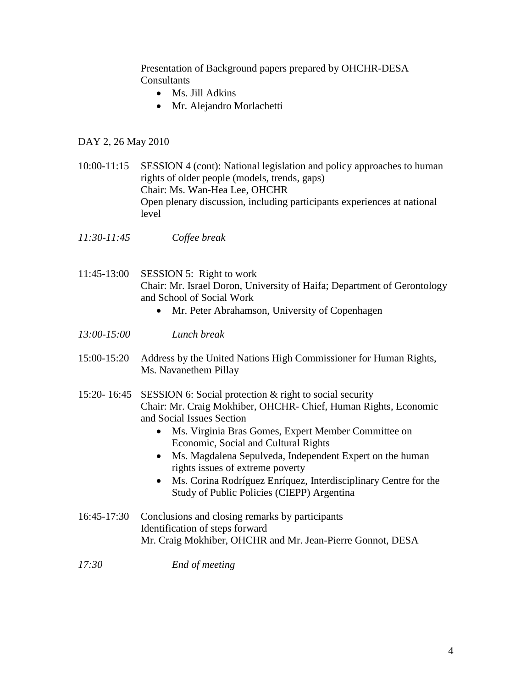Presentation of Background papers prepared by OHCHR-DESA **Consultants** 

- Ms. Jill Adkins
- Mr. Alejandro Morlachetti

#### DAY 2, 26 May 2010

- 10:00-11:15 SESSION 4 (cont): National legislation and policy approaches to human rights of older people (models, trends, gaps) Chair: Ms. Wan-Hea Lee, OHCHR Open plenary discussion, including participants experiences at national level
- *11:30-11:45 Coffee break*
- 11:45-13:00 SESSION 5: Right to work Chair: Mr. Israel Doron, University of Haifa; Department of Gerontology and School of Social Work
	- Mr. Peter Abrahamson, University of Copenhagen
- *13:00-15:00 Lunch break*
- 15:00-15:20 Address by the United Nations High Commissioner for Human Rights, Ms. Navanethem Pillay
- 15:20- 16:45 SESSION 6: Social protection & right to social security Chair: Mr. Craig Mokhiber, OHCHR- Chief, Human Rights, Economic and Social Issues Section
	- Ms. Virginia Bras Gomes, Expert Member Committee on Economic, Social and Cultural Rights
	- Ms. Magdalena Sepulveda, Independent Expert on the human rights issues of extreme poverty
	- Ms. Corina Rodríguez Enríquez, Interdisciplinary Centre for the Study of Public Policies (CIEPP) Argentina
- 16:45-17:30 Conclusions and closing remarks by participants Identification of steps forward Mr. Craig Mokhiber, OHCHR and Mr. Jean-Pierre Gonnot, DESA
- *17:30 End of meeting*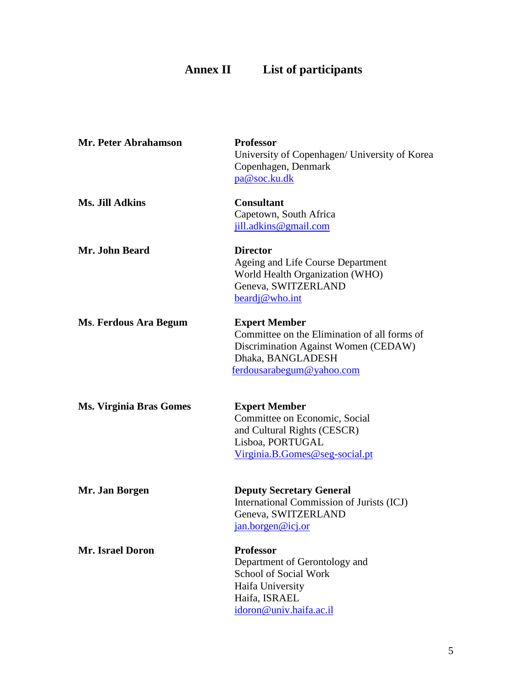# **Annex II List of participants**

| <b>Mr. Peter Abrahamson</b>    | <b>Professor</b><br>University of Copenhagen/ University of Korea<br>Copenhagen, Denmark<br>pa@soc.ku.dk                                                       |
|--------------------------------|----------------------------------------------------------------------------------------------------------------------------------------------------------------|
| <b>Ms. Jill Adkins</b>         | <b>Consultant</b><br>Capetown, South Africa<br>jill.adkins@gmail.com                                                                                           |
| Mr. John Beard                 | <b>Director</b><br>Ageing and Life Course Department<br>World Health Organization (WHO)<br>Geneva, SWITZERLAND<br>beardj@who.int                               |
| Ms. Ferdous Ara Begum          | <b>Expert Member</b><br>Committee on the Elimination of all forms of<br>Discrimination Against Women (CEDAW)<br>Dhaka, BANGLADESH<br>ferdousarabegum@yahoo.com |
| <b>Ms. Virginia Bras Gomes</b> | <b>Expert Member</b><br>Committee on Economic, Social<br>and Cultural Rights (CESCR)<br>Lisboa, PORTUGAL<br>Virginia.B.Gomes@seg-social.pt                     |
| Mr. Jan Borgen                 | <b>Deputy Secretary General</b><br>International Commission of Jurists (ICJ)<br>Geneva, SWITZERLAND<br>jan.borgen@icj.or                                       |
| <b>Mr. Israel Doron</b>        | <b>Professor</b><br>Department of Gerontology and<br><b>School of Social Work</b><br>Haifa University<br>Haifa, ISRAEL<br>idoron@univ.haifa.ac.il              |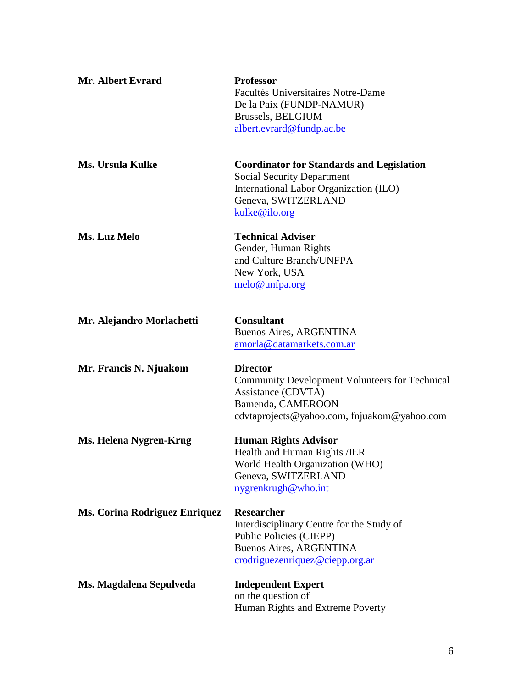| Mr. Albert Evrard             | <b>Professor</b><br>Facultés Universitaires Notre-Dame<br>De la Paix (FUNDP-NAMUR)<br>Brussels, BELGIUM<br>albert.evrard@fundp.ac.be                                                      |
|-------------------------------|-------------------------------------------------------------------------------------------------------------------------------------------------------------------------------------------|
| <b>Ms. Ursula Kulke</b>       | <b>Coordinator for Standards and Legislation</b><br><b>Social Security Department</b><br>International Labor Organization (ILO)<br>Geneva, SWITZERLAND<br>kulke@ilo.org                   |
| Ms. Luz Melo                  | <b>Technical Adviser</b><br>Gender, Human Rights<br>and Culture Branch/UNFPA<br>New York, USA<br>melo@unfpa.org                                                                           |
| Mr. Alejandro Morlachetti     | <b>Consultant</b><br>Buenos Aires, ARGENTINA<br>amorla@datamarkets.com.ar                                                                                                                 |
| Mr. Francis N. Njuakom        | <b>Director</b><br>Community Development Volunteers for Technical<br>Assistance (CDVTA)<br>Bamenda, CAMEROON<br>cdvtaprojects@yahoo.com, fnjuakom@yahoo.com                               |
| Ms. Helena Nygren-Krug        | <b>Human Rights Advisor</b><br>Health and Human Rights / IER<br>World Health Organization (WHO)<br>Geneva, SWITZERLAND<br>nygrenkrugh@who.int                                             |
| Ms. Corina Rodriguez Enriquez | <b>Researcher</b><br>Interdisciplinary Centre for the Study of<br><b>Public Policies (CIEPP)</b><br><b>Buenos Aires, ARGENTINA</b><br>${\rm crodriguezenrique } \mathcal{Q}$ ciepp.org.ar |
| Ms. Magdalena Sepulveda       | <b>Independent Expert</b><br>on the question of<br>Human Rights and Extreme Poverty                                                                                                       |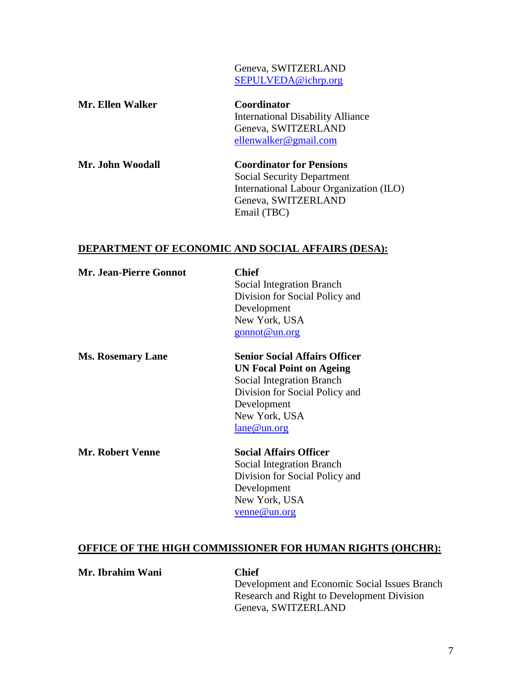Geneva, SWITZERLAND [SEPULVEDA@ichrp.org](mailto:SEPULVEDA@ichrp.org)

| Mr. Ellen Walker | Coordinator                              |
|------------------|------------------------------------------|
|                  | <b>International Disability Alliance</b> |
|                  | Geneva, SWITZERLAND                      |
|                  | ellenwalker@gmail.com                    |
| Mr. John Woodall | <b>Coordinator for Pensions</b>          |
|                  | Social Security Department               |

Social Security Department International Labour Organization (ILO) Geneva, SWITZERLAND Email (TBC)

#### **DEPARTMENT OF ECONOMIC AND SOCIAL AFFAIRS (DESA):**

| <b>Mr. Jean-Pierre Gonnot</b> | <b>Chief</b>                         |
|-------------------------------|--------------------------------------|
|                               | Social Integration Branch            |
|                               | Division for Social Policy and       |
|                               | Development                          |
|                               | New York, USA                        |
|                               | $g$ onnot@un.org                     |
| <b>Ms. Rosemary Lane</b>      | <b>Senior Social Affairs Officer</b> |
|                               | <b>UN Focal Point on Ageing</b>      |
|                               | Social Integration Branch            |
|                               | Division for Social Policy and       |
|                               | Development                          |
|                               | New York, USA                        |
|                               | $l$ ane@un.org                       |
| <b>Mr. Robert Venne</b>       | <b>Social Affairs Officer</b>        |
|                               | Social Integration Branch            |
|                               | Division for Social Policy and       |

ocial Policy Development New York, USA [venne@un.org](mailto:venne@un.org)

### **OFFICE OF THE HIGH COMMISSIONER FOR HUMAN RIGHTS (OHCHR):**

**Mr. Ibrahim Wani Chief**

Development and Economic Social Issues Branch Research and Right to Development Division Geneva, SWITZERLAND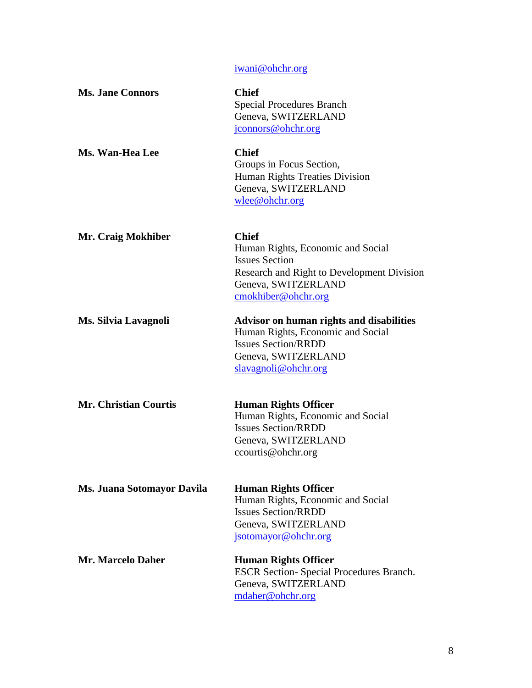[iwani@ohchr.org](mailto:iwani@ohchr.org)

| <b>Ms. Jane Connors</b>      | <b>Chief</b><br><b>Special Procedures Branch</b><br>Geneva, SWITZERLAND<br>jconnors@ohchr.org                                                                          |
|------------------------------|------------------------------------------------------------------------------------------------------------------------------------------------------------------------|
| Ms. Wan-Hea Lee              | <b>Chief</b><br>Groups in Focus Section,<br>Human Rights Treaties Division<br>Geneva, SWITZERLAND<br>wlee@ohchr.org                                                    |
| Mr. Craig Mokhiber           | <b>Chief</b><br>Human Rights, Economic and Social<br><b>Issues Section</b><br>Research and Right to Development Division<br>Geneva, SWITZERLAND<br>cmokhiber@ohchr.org |
| Ms. Silvia Lavagnoli         | <b>Advisor on human rights and disabilities</b><br>Human Rights, Economic and Social<br><b>Issues Section/RRDD</b><br>Geneva, SWITZERLAND<br>slavagnoli@ohchr.org      |
| <b>Mr. Christian Courtis</b> | <b>Human Rights Officer</b><br>Human Rights, Economic and Social<br><b>Issues Section/RRDD</b><br>Geneva, SWITZERLAND<br>ccourtis@ohchr.org                            |
| Ms. Juana Sotomayor Davila   | <b>Human Rights Officer</b><br>Human Rights, Economic and Social<br><b>Issues Section/RRDD</b><br>Geneva, SWITZERLAND<br>jsotomayor@ohchr.org                          |
| Mr. Marcelo Daher            | <b>Human Rights Officer</b><br><b>ESCR Section-Special Procedures Branch.</b><br>Geneva, SWITZERLAND<br>mdaher@ohchr.org                                               |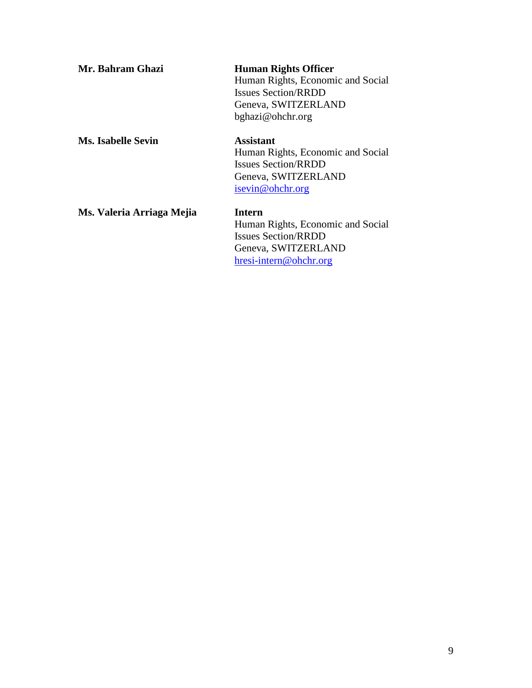| Mr. Bahram Ghazi          | <b>Human Rights Officer</b><br>Human Rights, Economic and Social<br><b>Issues Section/RRDD</b><br>Geneva, SWITZERLAND<br>bghazi@ohchr.org |
|---------------------------|-------------------------------------------------------------------------------------------------------------------------------------------|
| <b>Ms. Isabelle Sevin</b> | Assistant<br>Human Rights, Economic and Social<br><b>Issues Section/RRDD</b><br>Geneva, SWITZERLAND<br>isevin@ohchr.org                   |
| Ms. Valeria Arriaga Mejia | Intern<br>Human Rights, Economic and Social<br><b>Issues Section/RRDD</b><br>Geneva, SWITZERLAND<br>hresi-intern@ohchr.org                |